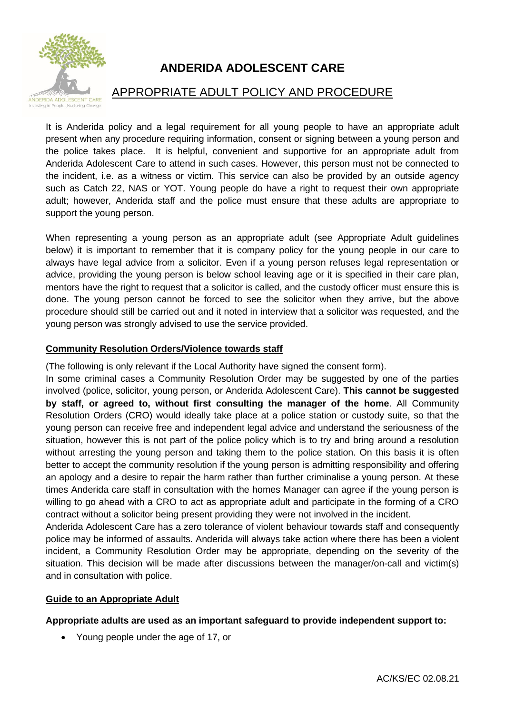

# **ANDERIDA ADOLESCENT CARE**

# APPROPRIATE ADULT POLICY AND PROCEDURE

It is Anderida policy and a legal requirement for all young people to have an appropriate adult present when any procedure requiring information, consent or signing between a young person and the police takes place. It is helpful, convenient and supportive for an appropriate adult from Anderida Adolescent Care to attend in such cases. However, this person must not be connected to the incident, i.e. as a witness or victim. This service can also be provided by an outside agency such as Catch 22, NAS or YOT. Young people do have a right to request their own appropriate adult; however, Anderida staff and the police must ensure that these adults are appropriate to support the young person.

When representing a young person as an appropriate adult (see Appropriate Adult guidelines below) it is important to remember that it is company policy for the young people in our care to always have legal advice from a solicitor. Even if a young person refuses legal representation or advice, providing the young person is below school leaving age or it is specified in their care plan, mentors have the right to request that a solicitor is called, and the custody officer must ensure this is done. The young person cannot be forced to see the solicitor when they arrive, but the above procedure should still be carried out and it noted in interview that a solicitor was requested, and the young person was strongly advised to use the service provided.

# **Community Resolution Orders/Violence towards staff**

(The following is only relevant if the Local Authority have signed the consent form).

In some criminal cases a Community Resolution Order may be suggested by one of the parties involved (police, solicitor, young person, or Anderida Adolescent Care). **This cannot be suggested by staff, or agreed to, without first consulting the manager of the home**. All Community Resolution Orders (CRO) would ideally take place at a police station or custody suite, so that the young person can receive free and independent legal advice and understand the seriousness of the situation, however this is not part of the police policy which is to try and bring around a resolution without arresting the young person and taking them to the police station. On this basis it is often better to accept the community resolution if the young person is admitting responsibility and offering an apology and a desire to repair the harm rather than further criminalise a young person. At these times Anderida care staff in consultation with the homes Manager can agree if the young person is willing to go ahead with a CRO to act as appropriate adult and participate in the forming of a CRO contract without a solicitor being present providing they were not involved in the incident.

Anderida Adolescent Care has a zero tolerance of violent behaviour towards staff and consequently police may be informed of assaults. Anderida will always take action where there has been a violent incident, a Community Resolution Order may be appropriate, depending on the severity of the situation. This decision will be made after discussions between the manager/on-call and victim(s) and in consultation with police.

# **Guide to an Appropriate Adult**

# **Appropriate adults are used as an important safeguard to provide independent support to:**

• Young people under the age of 17, or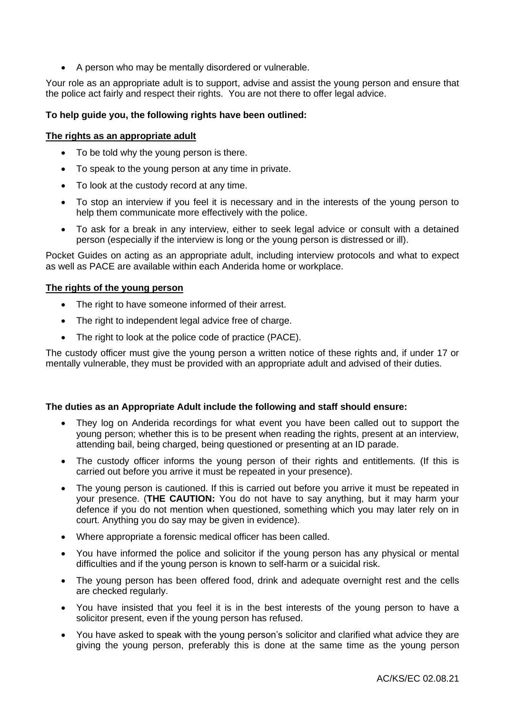• A person who may be mentally disordered or vulnerable.

Your role as an appropriate adult is to support, advise and assist the young person and ensure that the police act fairly and respect their rights. You are not there to offer legal advice.

### **To help guide you, the following rights have been outlined:**

#### **The rights as an appropriate adult**

- To be told why the young person is there.
- To speak to the young person at any time in private.
- To look at the custody record at any time.
- To stop an interview if you feel it is necessary and in the interests of the young person to help them communicate more effectively with the police.
- To ask for a break in any interview, either to seek legal advice or consult with a detained person (especially if the interview is long or the young person is distressed or ill).

Pocket Guides on acting as an appropriate adult, including interview protocols and what to expect as well as PACE are available within each Anderida home or workplace.

#### **The rights of the young person**

- The right to have someone informed of their arrest.
- The right to independent legal advice free of charge.
- The right to look at the police code of practice (PACE).

The custody officer must give the young person a written notice of these rights and, if under 17 or mentally vulnerable, they must be provided with an appropriate adult and advised of their duties.

#### **The duties as an Appropriate Adult include the following and staff should ensure:**

- They log on Anderida recordings for what event you have been called out to support the young person; whether this is to be present when reading the rights, present at an interview, attending bail, being charged, being questioned or presenting at an ID parade.
- The custody officer informs the young person of their rights and entitlements. (If this is carried out before you arrive it must be repeated in your presence).
- The young person is cautioned. If this is carried out before you arrive it must be repeated in your presence. (**THE CAUTION:** You do not have to say anything, but it may harm your defence if you do not mention when questioned, something which you may later rely on in court. Anything you do say may be given in evidence).
- Where appropriate a forensic medical officer has been called.
- You have informed the police and solicitor if the young person has any physical or mental difficulties and if the young person is known to self-harm or a suicidal risk.
- The young person has been offered food, drink and adequate overnight rest and the cells are checked regularly.
- You have insisted that you feel it is in the best interests of the young person to have a solicitor present, even if the young person has refused.
- You have asked to speak with the young person's solicitor and clarified what advice they are giving the young person, preferably this is done at the same time as the young person